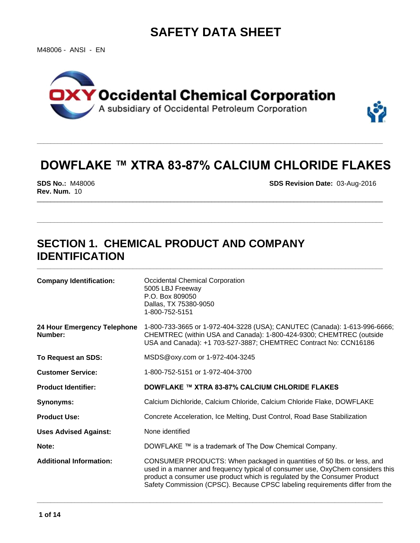# **SAFETY DATA SHEET**

M48006 - ANSI - EN



# **DOWFLAKE™ XTRA 83-87% CALCIUM CHLORIDE FLAKES**

**\_\_\_\_\_\_\_\_\_\_\_\_\_\_\_\_\_\_\_\_\_\_\_\_\_\_\_\_\_\_\_\_\_\_\_\_\_\_\_\_\_\_\_\_\_\_\_\_\_\_\_\_\_\_\_\_\_\_\_\_\_\_\_\_\_\_\_\_\_\_\_\_\_\_\_\_\_\_\_\_\_\_\_\_\_\_\_\_\_\_\_\_\_\_\_\_\_\_\_\_\_**

**\_\_\_\_\_\_\_\_\_\_\_\_\_\_\_\_\_\_\_\_\_\_\_\_\_\_\_\_\_\_\_\_\_\_\_\_\_\_\_\_\_\_\_\_\_\_\_\_\_\_\_\_\_\_\_\_\_\_\_\_\_\_\_\_\_\_\_\_\_\_\_\_\_\_\_\_\_\_\_\_\_\_\_\_\_\_\_\_\_\_\_\_\_\_\_\_\_\_\_\_\_**

**\_\_\_\_\_\_\_\_\_\_\_\_\_\_\_\_\_\_\_\_\_\_\_\_\_\_\_\_\_\_\_\_\_\_\_\_\_\_\_\_\_\_\_\_\_\_\_\_\_\_\_\_\_\_\_\_\_\_\_\_\_\_\_\_\_\_\_\_\_\_\_\_\_\_\_\_\_\_\_\_\_\_\_\_\_\_\_\_\_\_\_\_\_\_\_\_\_\_\_\_\_**

**\_\_\_\_\_\_\_\_\_\_\_\_\_\_\_\_\_\_\_\_\_\_\_\_\_\_\_\_\_\_\_\_\_\_\_\_\_\_\_\_\_\_\_\_\_\_\_\_\_\_\_\_\_\_\_\_\_\_\_\_\_\_\_\_\_\_\_\_\_\_\_\_\_\_\_\_\_\_\_\_\_\_\_\_\_\_\_\_\_\_\_\_\_\_\_\_\_\_\_\_\_**

\_\_\_\_\_\_\_\_\_\_\_\_\_\_\_\_\_\_\_\_\_\_\_\_\_\_\_\_\_\_\_\_\_\_\_\_\_\_\_\_\_\_\_\_\_\_\_\_\_\_\_\_\_\_\_\_\_\_\_\_\_\_\_\_\_\_\_\_\_\_\_\_\_\_\_\_\_\_\_\_\_\_\_\_\_\_\_\_\_\_\_\_\_\_\_\_\_\_\_\_\_ **SDS No.:** M48006 **SDS Revision Date:** 03-Aug-2016 **Rev. Num.** 10

## **SECTION 1. CHEMICAL PRODUCT AND COMPANY IDENTIFICATION**

| <b>Company Identification:</b>         | Occidental Chemical Corporation<br>5005 LBJ Freeway<br>P.O. Box 809050<br>Dallas, TX 75380-9050<br>1-800-752-5151                                                                                                                                                                                                     |  |  |
|----------------------------------------|-----------------------------------------------------------------------------------------------------------------------------------------------------------------------------------------------------------------------------------------------------------------------------------------------------------------------|--|--|
| 24 Hour Emergency Telephone<br>Number: | 1-800-733-3665 or 1-972-404-3228 (USA); CANUTEC (Canada): 1-613-996-6666;<br>CHEMTREC (within USA and Canada): 1-800-424-9300; CHEMTREC (outside<br>USA and Canada): +1 703-527-3887; CHEMTREC Contract No: CCN16186                                                                                                  |  |  |
| To Request an SDS:                     | MSDS@oxy.com or 1-972-404-3245                                                                                                                                                                                                                                                                                        |  |  |
| <b>Customer Service:</b>               | 1-800-752-5151 or 1-972-404-3700                                                                                                                                                                                                                                                                                      |  |  |
| <b>Product Identifier:</b>             | DOWFLAKE ™ XTRA 83-87% CALCIUM CHLORIDE FLAKES                                                                                                                                                                                                                                                                        |  |  |
| Synonyms:                              | Calcium Dichloride, Calcium Chloride, Calcium Chloride Flake, DOWFLAKE                                                                                                                                                                                                                                                |  |  |
| <b>Product Use:</b>                    | Concrete Acceleration, Ice Melting, Dust Control, Road Base Stabilization                                                                                                                                                                                                                                             |  |  |
| <b>Uses Advised Against:</b>           | None identified                                                                                                                                                                                                                                                                                                       |  |  |
| Note:                                  | DOWFLAKE ™ is a trademark of The Dow Chemical Company.                                                                                                                                                                                                                                                                |  |  |
| <b>Additional Information:</b>         | CONSUMER PRODUCTS: When packaged in quantities of 50 lbs. or less, and<br>used in a manner and frequency typical of consumer use, OxyChem considers this<br>product a consumer use product which is regulated by the Consumer Product<br>Safety Commission (CPSC). Because CPSC labeling requirements differ from the |  |  |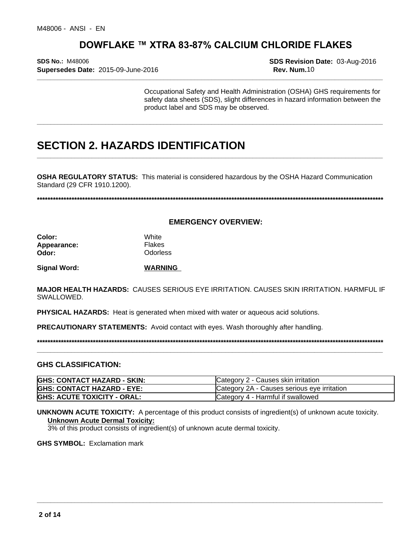**\_\_\_\_\_\_\_\_\_\_\_\_\_\_\_\_\_\_\_\_\_\_\_\_\_\_\_\_\_\_\_\_\_\_\_\_\_\_\_\_\_\_\_\_\_\_\_\_\_\_\_\_\_\_\_\_\_\_\_\_\_\_\_\_\_\_\_\_\_\_\_\_\_\_\_\_\_\_\_\_\_\_\_\_\_\_\_\_\_\_\_\_\_\_\_\_\_\_\_\_\_ SDS No.:** M48006 **SDS Revision Date:** 03-Aug-2016 **Supersedes Date:** 2015-09-June-2016 **Rev. Num.**10

Occupational Safety and Health Administration (OSHA) GHS requirements for safety data sheets (SDS), slight differences in hazard information between the product label and SDS may be observed.

**\_\_\_\_\_\_\_\_\_\_\_\_\_\_\_\_\_\_\_\_\_\_\_\_\_\_\_\_\_\_\_\_\_\_\_\_\_\_\_\_\_\_\_\_\_\_\_\_\_\_\_\_\_\_\_\_\_\_\_\_\_\_\_\_\_\_\_\_\_\_\_\_\_\_\_\_\_\_\_\_\_\_\_\_\_\_\_\_\_\_\_\_\_\_\_\_\_\_\_\_\_**

**\_\_\_\_\_\_\_\_\_\_\_\_\_\_\_\_\_\_\_\_\_\_\_\_\_\_\_\_\_\_\_\_\_\_\_\_\_\_\_\_\_\_\_\_\_\_\_\_\_\_\_\_\_\_\_\_\_\_\_\_\_\_\_\_\_\_\_\_\_\_\_\_\_\_\_\_\_\_\_\_\_\_\_\_\_\_\_\_\_\_\_\_\_\_\_\_\_\_\_\_\_**

## **SECTION 2. HAZARDS IDENTIFICATION**

**OSHA REGULATORY STATUS:** This material is considered hazardous by the OSHA Hazard Communication Standard (29 CFR 1910.1200).

**\*\*\*\*\*\*\*\*\*\*\*\*\*\*\*\*\*\*\*\*\*\*\*\*\*\*\*\*\*\*\*\*\*\*\*\*\*\*\*\*\*\*\*\*\*\*\*\*\*\*\*\*\*\*\*\*\*\*\*\*\*\*\*\*\*\*\*\*\*\*\*\*\*\*\*\*\*\*\*\*\*\*\*\*\*\*\*\*\*\*\*\*\*\*\*\*\*\*\*\*\*\*\*\*\*\*\*\*\*\*\*\*\*\*\*\*\*\*\*\*\*\*\*\*\*\*\*\*\*\***

**EMERGENCY OVERVIEW:**

| <b>Color:</b> | White           |
|---------------|-----------------|
| Appearance:   | <b>Flakes</b>   |
| Odor:         | <b>Odorless</b> |

**Signal Word: WARNING** 

**MAJOR HEALTH HAZARDS:** CAUSES SERIOUS EYE IRRITATION. CAUSES SKIN IRRITATION. HARMFUL IF SWALLOWED.

**PHYSICAL HAZARDS:** Heat is generated when mixed with water or aqueous acid solutions.

**PRECAUTIONARY STATEMENTS:** Avoid contact with eyes. Wash thoroughly after handling.

**\*\*\*\*\*\*\*\*\*\*\*\*\*\*\*\*\*\*\*\*\*\*\*\*\*\*\*\*\*\*\*\*\*\*\*\*\*\*\*\*\*\*\*\*\*\*\*\*\*\*\*\*\*\*\*\*\*\*\*\*\*\*\*\*\*\*\*\*\*\*\*\*\*\*\*\*\*\*\*\*\*\*\*\*\*\*\*\*\*\*\*\*\*\*\*\*\*\*\*\*\*\*\*\*\*\*\*\*\*\*\*\*\*\*\*\*\*\*\*\*\*\*\*\*\*\*\*\*\*\***

**\_\_\_\_\_\_\_\_\_\_\_\_\_\_\_\_\_\_\_\_\_\_\_\_\_\_\_\_\_\_\_\_\_\_\_\_\_\_\_\_\_\_\_\_\_\_\_\_\_\_\_\_\_\_\_\_\_\_\_\_\_\_\_\_\_\_\_\_\_\_\_\_\_\_\_\_\_\_\_\_\_\_\_\_\_\_\_\_\_\_\_\_\_\_\_\_\_\_\_\_\_**

**\_\_\_\_\_\_\_\_\_\_\_\_\_\_\_\_\_\_\_\_\_\_\_\_\_\_\_\_\_\_\_\_\_\_\_\_\_\_\_\_\_\_\_\_\_\_\_\_\_\_\_\_\_\_\_\_\_\_\_\_\_\_\_\_\_\_\_\_\_\_\_\_\_\_\_\_\_\_\_\_\_\_\_\_\_\_\_\_\_\_\_\_\_\_\_\_\_\_\_\_\_**

#### **GHS CLASSIFICATION:**

| <b>GHS: CONTACT HAZARD - SKIN:</b> | Category 2 - Causes skin irritation         |
|------------------------------------|---------------------------------------------|
| <b>GHS: CONTACT HAZARD - EYE:</b>  | Category 2A - Causes serious eye irritation |
| <b>GHS: ACUTE TOXICITY - ORAL:</b> | Category 4 - Harmful if swallowed           |

**UNKNOWN ACUTE TOXICITY:** A percentage of this product consists of ingredient(s) of unknown acute toxicity. **Unknown Acute Dermal Toxicity:**

3% of this product consists of ingredient(s) of unknown acute dermal toxicity.

**GHS SYMBOL:** Exclamation mark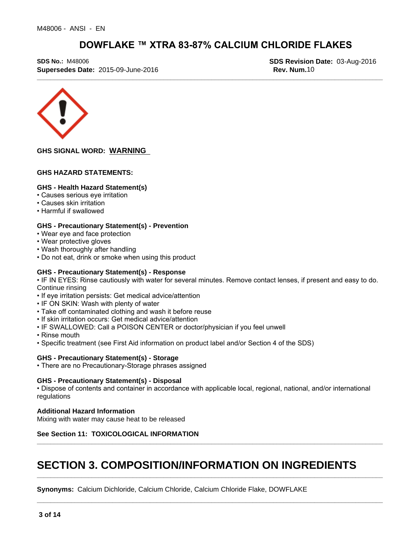**\_\_\_\_\_\_\_\_\_\_\_\_\_\_\_\_\_\_\_\_\_\_\_\_\_\_\_\_\_\_\_\_\_\_\_\_\_\_\_\_\_\_\_\_\_\_\_\_\_\_\_\_\_\_\_\_\_\_\_\_\_\_\_\_\_\_\_\_\_\_\_\_\_\_\_\_\_\_\_\_\_\_\_\_\_\_\_\_\_\_\_\_\_\_\_\_\_\_\_\_\_ SDS No.:** M48006 **SDS Revision Date:** 03-Aug-2016 **Supersedes Date:** 2015-09-June-2016 **Rev. Num.10 Rev. Num.10** 



**GHS SIGNAL WORD: WARNING** 

#### **GHS HAZARD STATEMENTS:**

#### **GHS - Health Hazard Statement(s)**

- Causes serious eye irritation
- Causes skin irritation
- Harmful if swallowed

#### **GHS - Precautionary Statement(s) - Prevention**

- Wear eye and face protection
- Wear protective gloves
- Wash thoroughly after handling
- Do not eat, drink or smoke when using this product

#### **GHS - Precautionary Statement(s) - Response**

• IF IN EYES: Rinse cautiously with water for several minutes. Remove contact lenses, if present and easy to do. Continue rinsing

- If eye irritation persists: Get medical advice/attention
- IF ON SKIN: Wash with plenty of water
- Take off contaminated clothing and wash it before reuse
- If skin irritation occurs: Get medical advice/attention
- IF SWALLOWED: Call a POISON CENTER or doctor/physician if you feel unwell
- Rinse mouth
- Specific treatment (see First Aid information on product label and/or Section 4 of the SDS)

#### **GHS - Precautionary Statement(s) - Storage**

• There are no Precautionary-Storage phrases assigned

#### **GHS - Precautionary Statement(s) - Disposal**

• Dispose of contents and container in accordance with applicable local, regional, national, and/or international regulations

**\_\_\_\_\_\_\_\_\_\_\_\_\_\_\_\_\_\_\_\_\_\_\_\_\_\_\_\_\_\_\_\_\_\_\_\_\_\_\_\_\_\_\_\_\_\_\_\_\_\_\_\_\_\_\_\_\_\_\_\_\_\_\_\_\_\_\_\_\_\_\_\_\_\_\_\_\_\_\_\_\_\_\_\_\_\_\_\_\_\_\_\_\_\_\_\_\_\_\_\_\_**

**\_\_\_\_\_\_\_\_\_\_\_\_\_\_\_\_\_\_\_\_\_\_\_\_\_\_\_\_\_\_\_\_\_\_\_\_\_\_\_\_\_\_\_\_\_\_\_\_\_\_\_\_\_\_\_\_\_\_\_\_\_\_\_\_\_\_\_\_\_\_\_\_\_\_\_\_\_\_\_\_\_\_\_\_\_\_\_\_\_\_\_\_\_\_\_\_\_\_\_\_\_**

**\_\_\_\_\_\_\_\_\_\_\_\_\_\_\_\_\_\_\_\_\_\_\_\_\_\_\_\_\_\_\_\_\_\_\_\_\_\_\_\_\_\_\_\_\_\_\_\_\_\_\_\_\_\_\_\_\_\_\_\_\_\_\_\_\_\_\_\_\_\_\_\_\_\_\_\_\_\_\_\_\_\_\_\_\_\_\_\_\_\_\_\_\_\_\_\_\_\_\_\_\_**

#### **Additional Hazard Information**

Mixing with water may cause heat to be released

#### **See Section 11: TOXICOLOGICAL INFORMATION**

## **SECTION 3. COMPOSITION/INFORMATION ON INGREDIENTS**

**Synonyms:** Calcium Dichloride, Calcium Chloride, Calcium Chloride Flake, DOWFLAKE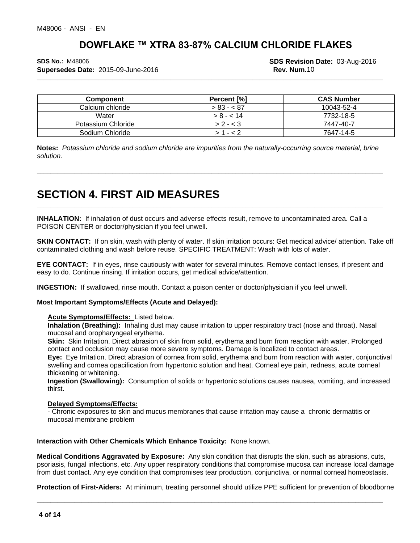**Supersedes Date:** 2015-09-June-2016 **Rev. Num.10 Rev. Num.10** 

**\_\_\_\_\_\_\_\_\_\_\_\_\_\_\_\_\_\_\_\_\_\_\_\_\_\_\_\_\_\_\_\_\_\_\_\_\_\_\_\_\_\_\_\_\_\_\_\_\_\_\_\_\_\_\_\_\_\_\_\_\_\_\_\_\_\_\_\_\_\_\_\_\_\_\_\_\_\_\_\_\_\_\_\_\_\_\_\_\_\_\_\_\_\_\_\_\_\_\_\_\_ SDS No.:** M48006 **SDS Revision Date:** 03-Aug-2016

| <b>Component</b>   | Percent [%] | <b>CAS Number</b> |
|--------------------|-------------|-------------------|
| Calcium chloride   | $> 83 - 87$ | 10043-52-4        |
| Water              | $> 8 - 14$  | 7732-18-5         |
| Potassium Chloride | $> 2 - < 3$ | 7447-40-7         |
| Sodium Chloride    |             | 7647-14-5         |

**Notes:** *Potassium chloride and sodium chloride are impurities from the naturally-occurring source material, brine solution.*

**\_\_\_\_\_\_\_\_\_\_\_\_\_\_\_\_\_\_\_\_\_\_\_\_\_\_\_\_\_\_\_\_\_\_\_\_\_\_\_\_\_\_\_\_\_\_\_\_\_\_\_\_\_\_\_\_\_\_\_\_\_\_\_\_\_\_\_\_\_\_\_\_\_\_\_\_\_\_\_\_\_\_\_\_\_\_\_\_\_\_\_\_\_\_\_\_\_\_\_\_\_**

**\_\_\_\_\_\_\_\_\_\_\_\_\_\_\_\_\_\_\_\_\_\_\_\_\_\_\_\_\_\_\_\_\_\_\_\_\_\_\_\_\_\_\_\_\_\_\_\_\_\_\_\_\_\_\_\_\_\_\_\_\_\_\_\_\_\_\_\_\_\_\_\_\_\_\_\_\_\_\_\_\_\_\_\_\_\_\_\_\_\_\_\_\_\_\_\_\_\_\_\_\_**

## **SECTION 4. FIRST AID MEASURES**

**INHALATION:** If inhalation of dust occurs and adverse effects result, remove to uncontaminated area. Call a POISON CENTER or doctor/physician if you feel unwell.

**SKIN CONTACT:** If on skin, wash with plenty of water. If skin irritation occurs: Get medical advice/ attention. Take off contaminated clothing and wash before reuse. SPECIFIC TREATMENT: Wash with lots of water.

**EYE CONTACT:** If in eyes, rinse cautiously with water for several minutes. Remove contact lenses, if present and easy to do. Continue rinsing. If irritation occurs, get medical advice/attention.

**INGESTION:** If swallowed, rinse mouth. Contact a poison center or doctor/physician if you feel unwell.

#### **Most Important Symptoms/Effects (Acute and Delayed):**

#### **Acute Symptoms/Effects:** Listed below.

**Inhalation (Breathing):** Inhaling dust may cause irritation to upper respiratory tract (nose and throat). Nasal mucosal and oropharyngeal erythema.

**Skin:** Skin Irritation. Direct abrasion of skin from solid, erythema and burn from reaction with water. Prolonged contact and occlusion may cause more severe symptoms. Damage islocalized to contact areas.

**Eye:** Eye Irritation. Direct abrasion of cornea from solid, erythema and burn from reaction with water, conjunctival swelling and cornea opacification from hypertonic solution and heat. Corneal eye pain, redness, acute corneal thickening or whitening.

**Ingestion (Swallowing):** Consumption of solids or hypertonic solutions causes nausea, vomiting, and increased thirst.

#### **Delayed Symptoms/Effects:**

- Chronic exposures to skin and mucus membranes that cause irritation may cause a chronic dermatitis or mucosal membrane problem

**Interaction with Other Chemicals Which Enhance Toxicity:** None known.

**Medical Conditions Aggravated by Exposure:** Any skin condition that disrupts the skin, such as abrasions, cuts, psoriasis, fungal infections, etc. Any upper respiratory conditions that compromise mucosa can increase localdamage from dust contact. Any eye condition that compromises tear production, conjunctiva, or normal corneal homeostasis.

**Protection of First-Aiders:** At minimum, treating personnel should utilize PPE sufficient for prevention of bloodborne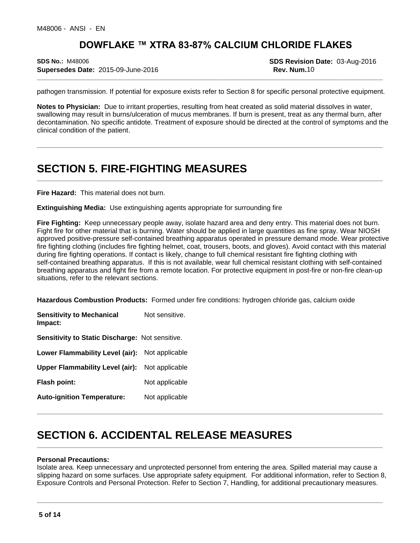**\_\_\_\_\_\_\_\_\_\_\_\_\_\_\_\_\_\_\_\_\_\_\_\_\_\_\_\_\_\_\_\_\_\_\_\_\_\_\_\_\_\_\_\_\_\_\_\_\_\_\_\_\_\_\_\_\_\_\_\_\_\_\_\_\_\_\_\_\_\_\_\_\_\_\_\_\_\_\_\_\_\_\_\_\_\_\_\_\_\_\_\_\_\_\_\_\_\_\_\_\_ SDS No.:** M48006 **SDS Revision Date:** 03-Aug-2016 **Supersedes Date:** 2015-09-June-2016 **Rev. Num.10 Rev. Num.10** 

pathogen transmission. If potential for exposure exists refer to Section 8 for specific personal protective equipment.

**Notes to Physician:** Due to irritant properties, resulting from heat created as solid material dissolves in water, swallowing may result in burns/ulceration of mucus membranes. If burn is present, treat as any thermal burn, after decontamination. No specific antidote. Treatment of exposure should be directed at the control of symptoms and the clinical condition of the patient.

**\_\_\_\_\_\_\_\_\_\_\_\_\_\_\_\_\_\_\_\_\_\_\_\_\_\_\_\_\_\_\_\_\_\_\_\_\_\_\_\_\_\_\_\_\_\_\_\_\_\_\_\_\_\_\_\_\_\_\_\_\_\_\_\_\_\_\_\_\_\_\_\_\_\_\_\_\_\_\_\_\_\_\_\_\_\_\_\_\_\_\_\_\_\_\_\_\_\_\_\_\_**

**\_\_\_\_\_\_\_\_\_\_\_\_\_\_\_\_\_\_\_\_\_\_\_\_\_\_\_\_\_\_\_\_\_\_\_\_\_\_\_\_\_\_\_\_\_\_\_\_\_\_\_\_\_\_\_\_\_\_\_\_\_\_\_\_\_\_\_\_\_\_\_\_\_\_\_\_\_\_\_\_\_\_\_\_\_\_\_\_\_\_\_\_\_\_\_\_\_\_\_\_\_**

## **SECTION 5. FIRE-FIGHTING MEASURES**

**Fire Hazard:** This material does not burn.

**Extinguishing Media:** Use extinguishing agents appropriate for surrounding fire

Fire Fighting: Keep unnecessary people away, isolate hazard area and deny entry. This material does not burn.<br>Fight fire for other material that is burning. Water should be applied in large quantities as fine spray. Wear N approved positive-pressure self-contained breathing apparatus operated in pressure demand mode. Wear protective fire fighting clothing (includes fire fighting helmet, coat, trousers, boots, and gloves). Avoid contact with this material during fire fighting operations. If contact is likely, change to full chemical resistant fire fighting clothing with self-contained breathing apparatus. If this is not available, wear full chemical resistant clothing with self-contained breathing apparatus and fight fire from a remote location. For protective equipment in post-fire or non-fire clean-up situations, refer to the relevant sections.

**Hazardous Combustion Products:** Formed under fire conditions: hydrogen chloride gas, calcium oxide

**Sensitivity to Mechanical Impact:** Not sensitive. **Sensitivity to Static Discharge:** Not sensitive. **Lower Flammability Level (air):** Not applicable **Upper Flammability Level (air):** Not applicable **Flash point:** Not applicable **Auto-ignition Temperature:** Not applicable

## **SECTION 6. ACCIDENTAL RELEASE MEASURES**

#### **Personal Precautions:**

Isolate area. Keep unnecessary and unprotected personnel from entering the area. Spilled material may cause a slipping hazard on some surfaces. Use appropriate safety equipment. For additional information, refer to Section 8, Exposure Controls and Personal Protection. Refer to Section 7, Handling, for additional precautionary measures.

**\_\_\_\_\_\_\_\_\_\_\_\_\_\_\_\_\_\_\_\_\_\_\_\_\_\_\_\_\_\_\_\_\_\_\_\_\_\_\_\_\_\_\_\_\_\_\_\_\_\_\_\_\_\_\_\_\_\_\_\_\_\_\_\_\_\_\_\_\_\_\_\_\_\_\_\_\_\_\_\_\_\_\_\_\_\_\_\_\_\_\_\_\_\_\_\_\_\_\_\_\_**

**\_\_\_\_\_\_\_\_\_\_\_\_\_\_\_\_\_\_\_\_\_\_\_\_\_\_\_\_\_\_\_\_\_\_\_\_\_\_\_\_\_\_\_\_\_\_\_\_\_\_\_\_\_\_\_\_\_\_\_\_\_\_\_\_\_\_\_\_\_\_\_\_\_\_\_\_\_\_\_\_\_\_\_\_\_\_\_\_\_\_\_\_\_\_\_\_\_\_\_\_\_**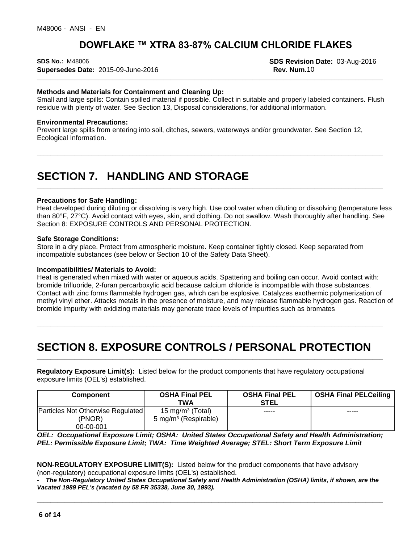**\_\_\_\_\_\_\_\_\_\_\_\_\_\_\_\_\_\_\_\_\_\_\_\_\_\_\_\_\_\_\_\_\_\_\_\_\_\_\_\_\_\_\_\_\_\_\_\_\_\_\_\_\_\_\_\_\_\_\_\_\_\_\_\_\_\_\_\_\_\_\_\_\_\_\_\_\_\_\_\_\_\_\_\_\_\_\_\_\_\_\_\_\_\_\_\_\_\_\_\_\_ SDS No.:** M48006 **SDS Revision Date:** 03-Aug-2016 **Supersedes Date:** 2015-09-June-2016 **Rev. Num.10 Rev. Num.10** 

#### **Methods and Materials for Containment and Cleaning Up:**

Small and large spills: Contain spilled material if possible. Collect in suitable and properly labeled containers. Flush residue with plenty of water. See Section 13, Disposal considerations, for additional information.

#### **Environmental Precautions:**

Prevent large spills from entering into soil, ditches, sewers, waterways and/or groundwater. See Section 12, Ecological Information.

## **SECTION 7. HANDLING AND STORAGE**

#### **Precautions for Safe Handling:**

Heat developed during diluting or dissolving is very high. Use cool water when diluting or dissolving (temperature less than 80°F, 27°C). Avoid contact with eyes, skin, and clothing. Do not swallow. Wash thoroughly after handling. See Section 8: EXPOSURE CONTROLS AND PERSONAL PROTECTION.

**\_\_\_\_\_\_\_\_\_\_\_\_\_\_\_\_\_\_\_\_\_\_\_\_\_\_\_\_\_\_\_\_\_\_\_\_\_\_\_\_\_\_\_\_\_\_\_\_\_\_\_\_\_\_\_\_\_\_\_\_\_\_\_\_\_\_\_\_\_\_\_\_\_\_\_\_\_\_\_\_\_\_\_\_\_\_\_\_\_\_\_\_\_\_\_\_\_\_\_\_\_**

**\_\_\_\_\_\_\_\_\_\_\_\_\_\_\_\_\_\_\_\_\_\_\_\_\_\_\_\_\_\_\_\_\_\_\_\_\_\_\_\_\_\_\_\_\_\_\_\_\_\_\_\_\_\_\_\_\_\_\_\_\_\_\_\_\_\_\_\_\_\_\_\_\_\_\_\_\_\_\_\_\_\_\_\_\_\_\_\_\_\_\_\_\_\_\_\_\_\_\_\_\_**

**\_\_\_\_\_\_\_\_\_\_\_\_\_\_\_\_\_\_\_\_\_\_\_\_\_\_\_\_\_\_\_\_\_\_\_\_\_\_\_\_\_\_\_\_\_\_\_\_\_\_\_\_\_\_\_\_\_\_\_\_\_\_\_\_\_\_\_\_\_\_\_\_\_\_\_\_\_\_\_\_\_\_\_\_\_\_\_\_\_\_\_\_\_\_\_\_\_\_\_\_\_**

**\_\_\_\_\_\_\_\_\_\_\_\_\_\_\_\_\_\_\_\_\_\_\_\_\_\_\_\_\_\_\_\_\_\_\_\_\_\_\_\_\_\_\_\_\_\_\_\_\_\_\_\_\_\_\_\_\_\_\_\_\_\_\_\_\_\_\_\_\_\_\_\_\_\_\_\_\_\_\_\_\_\_\_\_\_\_\_\_\_\_\_\_\_\_\_\_\_\_\_\_\_**

**\_\_\_\_\_\_\_\_\_\_\_\_\_\_\_\_\_\_\_\_\_\_\_\_\_\_\_\_\_\_\_\_\_\_\_\_\_\_\_\_\_\_\_\_\_\_\_\_\_\_\_\_\_\_\_\_\_\_\_\_\_\_\_\_\_\_\_\_\_\_\_\_\_\_\_\_\_\_\_\_\_\_\_\_\_\_\_\_\_\_\_\_\_\_\_\_\_\_\_\_\_**

#### **Safe Storage Conditions:**

Store in a dry place. Protect from atmospheric moisture. Keep container tightly closed. Keep separated from incompatible substances (see below or Section 10 of the Safety Data Sheet).

#### **Incompatibilities/ Materials to Avoid:**

Heat is generated when mixed with water or aqueous acids. Spattering and boiling can occur. Avoid contact with: bromide trifluoride, 2-furan percarboxylic acid because calcium chloride is incompatible with those substances. Contact with zinc forms flammable hydrogen gas, which can be explosive. Catalyzes exothermic polymerization of methyl vinyl ether. Attacks metals in the presence of moisture, and may release flammable hydrogen gas. Reaction of bromide impurity with oxidizing materials may generate trace levels of impurities such as bromates

## **SECTION 8. EXPOSURE CONTROLS / PERSONAL PROTECTION**

**Regulatory Exposure Limit(s):**Listed below for the product components that have regulatory occupational exposure limits (OEL's) established.

| Component                                   | <b>OSHA Final PEL</b><br><b>TWA</b>                              | <b>OSHA Final PEL</b><br><b>STEL</b> | <b>OSHA Final PELCeiling</b> |
|---------------------------------------------|------------------------------------------------------------------|--------------------------------------|------------------------------|
| Particles Not Otherwise Regulated<br>(PNOR) | 15 mg/m <sup>3</sup> (Total)<br>5 mg/m <sup>3</sup> (Respirable) | -----                                | -----                        |
| 00-00-001                                   |                                                                  |                                      |                              |

*OEL: Occupational Exposure Limit; OSHA: United States Occupational Safety and Health Administration; PEL: Permissible Exposure Limit; TWA: Time Weighted Average; STEL: Short Term Exposure Limit*

#### **NON-REGULATORY EXPOSURE LIMIT(S):** Listed below for the product components that have advisory (non-regulatory) occupational exposure limits (OEL's) established.

The Non-Regulatory United States Occupational Safety and Health Administration (OSHA) limits, if shown, are the *Vacated 1989 PEL's (vacated by 58 FR 35338, June 30, 1993).*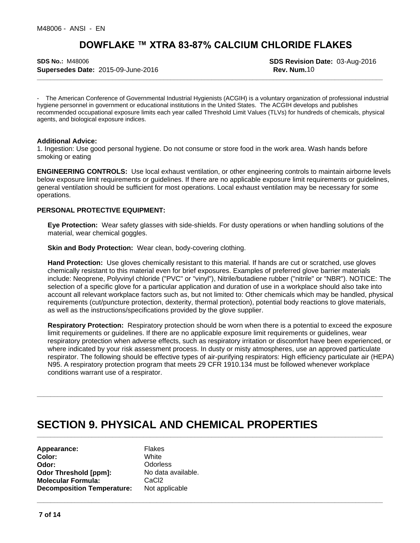**\_\_\_\_\_\_\_\_\_\_\_\_\_\_\_\_\_\_\_\_\_\_\_\_\_\_\_\_\_\_\_\_\_\_\_\_\_\_\_\_\_\_\_\_\_\_\_\_\_\_\_\_\_\_\_\_\_\_\_\_\_\_\_\_\_\_\_\_\_\_\_\_\_\_\_\_\_\_\_\_\_\_\_\_\_\_\_\_\_\_\_\_\_\_\_\_\_\_\_\_\_ SDS No.:** M48006 **SDS Revision Date:** 03-Aug-2016 **Supersedes Date:** 2015-09-June-2016 **Rev. Num.10 Rev. Num.10** 

- The American Conference of Governmental Industrial Hygienists (ACGIH) is a voluntary organization of professional industrial hygiene personnel in government or educational institutions in the United States. The ACGIH develops and publishes recommended occupational exposure limits each year called Threshold Limit Values (TLVs) for hundreds of chemicals, physical agents, and biological exposure indices.

#### **Additional Advice:**

1. Ingestion: Use good personal hygiene. Do not consume or store food in the work area. Wash hands before smoking or eating

**ENGINEERING CONTROLS:** Use local exhaust ventilation, or other engineering controls to maintain airborne levels below exposure limit requirements or guidelines. If there are no applicable exposure limit requirements or guidelines, general ventilation should be sufficient for most operations. Local exhaust ventilation may be necessary for some operations.

#### **PERSONAL PROTECTIVE EQUIPMENT:**

**Eye Protection:** Wear safety glasses with side-shields. For dusty operations or when handling solutions of the material, wear chemical goggles.

**Skin and Body Protection:** Wear clean, body-covering clothing.

**Hand Protection:** Use gloves chemically resistant to this material. If hands are cut or scratched, use gloves chemically resistant to this material even for brief exposures. Examples of preferred glove barrier materials include: Neoprene, Polyvinyl chloride ("PVC" or "vinyl"), Nitrile/butadiene rubber ("nitrile" or "NBR"). NOTICE: The selection of a specific glove for a particular application and duration of use in a workplace should also take into account all relevant workplace factors such as, but not limited to: Other chemicals which may be handled, physical requirements (cut/puncture protection, dexterity, thermal protection), potential body reactions to glove materials, as well as the instructions/specifications provided by the glove supplier.

**Respiratory Protection:** Respiratory protection should be worn when there is a potential to exceed the exposure limit requirements or guidelines. If there are no applicable exposure limit requirements or guidelines, wear respiratory protection when adverse effects, such as respiratory irritation or discomfort have been experienced, or where indicated by your risk assessment process. In dusty or misty atmospheres, use an approved particulate respirator. The following should be effective types of air-purifying respirators: High efficiency particulate air (HEPA) N95. A respiratory protection program that meets 29 CFR 1910.134 must be followed whenever workplace conditions warrant use of a respirator.

**\_\_\_\_\_\_\_\_\_\_\_\_\_\_\_\_\_\_\_\_\_\_\_\_\_\_\_\_\_\_\_\_\_\_\_\_\_\_\_\_\_\_\_\_\_\_\_\_\_\_\_\_\_\_\_\_\_\_\_\_\_\_\_\_\_\_\_\_\_\_\_\_\_\_\_\_\_\_\_\_\_\_\_\_\_\_\_\_\_\_\_\_\_\_\_\_\_\_\_\_\_**

**\_\_\_\_\_\_\_\_\_\_\_\_\_\_\_\_\_\_\_\_\_\_\_\_\_\_\_\_\_\_\_\_\_\_\_\_\_\_\_\_\_\_\_\_\_\_\_\_\_\_\_\_\_\_\_\_\_\_\_\_\_\_\_\_\_\_\_\_\_\_\_\_\_\_\_\_\_\_\_\_\_\_\_\_\_\_\_\_\_\_\_\_\_\_\_\_\_\_\_\_\_**

**\_\_\_\_\_\_\_\_\_\_\_\_\_\_\_\_\_\_\_\_\_\_\_\_\_\_\_\_\_\_\_\_\_\_\_\_\_\_\_\_\_\_\_\_\_\_\_\_\_\_\_\_\_\_\_\_\_\_\_\_\_\_\_\_\_\_\_\_\_\_\_\_\_\_\_\_\_\_\_\_\_\_\_\_\_\_\_\_\_\_\_\_\_\_\_\_\_\_\_\_\_**

## **SECTION 9. PHYSICAL AND CHEMICAL PROPERTIES**

**Appearance:** Flakes<br> **Color:** White **Color:** White **Odor:** Odorless<br> **Odor Threshold [ppm]:** No data available. **Odor Threshold [ppm]: Molecular Formula:** CaCl2 **Decomposition Temperature:** Not applicable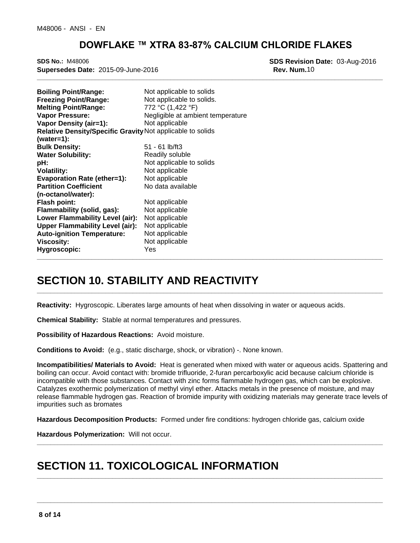**\_\_\_\_\_\_\_\_\_\_\_\_\_\_\_\_\_\_\_\_\_\_\_\_\_\_\_\_\_\_\_\_\_\_\_\_\_\_\_\_\_\_\_\_\_\_\_\_\_\_\_\_\_\_\_\_\_\_\_\_\_\_\_\_\_\_\_\_\_\_\_\_\_\_\_\_\_\_\_\_\_\_\_\_\_\_\_\_\_\_\_\_\_\_\_\_\_\_\_\_\_ SDS No.:** M48006 **SDS Revision Date:** 03-Aug-2016 **Supersedes Date:** 2015-09-June-2016 **Rev. Num.10 Rev. Num.10** 

| <b>Boiling Point/Range:</b><br><b>Freezing Point/Range:</b><br><b>Melting Point/Range:</b><br><b>Vapor Pressure:</b> | Not applicable to solids<br>Not applicable to solids.<br>772 °C (1,422 °F)<br>Negligible at ambient temperature |
|----------------------------------------------------------------------------------------------------------------------|-----------------------------------------------------------------------------------------------------------------|
| Vapor Density (air=1):                                                                                               | Not applicable                                                                                                  |
| Relative Density/Specific Gravity Not applicable to solids                                                           |                                                                                                                 |
| $(water=1):$                                                                                                         |                                                                                                                 |
| <b>Bulk Density:</b>                                                                                                 | $51 - 61$ lb/ft3                                                                                                |
| <b>Water Solubility:</b>                                                                                             | Readily soluble                                                                                                 |
| pH:                                                                                                                  | Not applicable to solids                                                                                        |
| <b>Volatility:</b>                                                                                                   | Not applicable                                                                                                  |
| <b>Evaporation Rate (ether=1):</b>                                                                                   | Not applicable                                                                                                  |
| <b>Partition Coefficient</b>                                                                                         | No data available                                                                                               |
| (n-octanol/water):                                                                                                   |                                                                                                                 |
| <b>Flash point:</b>                                                                                                  | Not applicable                                                                                                  |
| Flammability (solid, gas):                                                                                           | Not applicable                                                                                                  |
| Lower Flammability Level (air):                                                                                      | Not applicable                                                                                                  |
| <b>Upper Flammability Level (air):</b>                                                                               | Not applicable                                                                                                  |
| <b>Auto-ignition Temperature:</b>                                                                                    | Not applicable                                                                                                  |
| <b>Viscosity:</b>                                                                                                    | Not applicable                                                                                                  |
| Hygroscopic:                                                                                                         | Yes                                                                                                             |

## **SECTION 10. STABILITY AND REACTIVITY**

**Reactivity:** Hygroscopic. Liberates large amounts of heat when dissolving in water or aqueous acids.

**Chemical Stability:** Stable at normal temperatures and pressures.

**Possibility of Hazardous Reactions:** Avoid moisture.

**Conditions to Avoid:** (e.g., static discharge, shock, or vibration) -. None known.

**Incompatibilities/ Materials to Avoid:** Heat is generated when mixed with water or aqueous acids. Spattering and boiling can occur. Avoid contact with: bromide trifluoride, 2-furan percarboxylic acid because calcium chloride is incompatible with those substances. Contact with zinc forms flammable hydrogen gas, which can be explosive. Catalyzes exothermic polymerization of methyl vinyl ether. Attacks metals in the presence of moisture, and may release flammable hydrogen gas. Reaction of bromide impurity with oxidizing materials may generate trace levels of impurities such as bromates

**\_\_\_\_\_\_\_\_\_\_\_\_\_\_\_\_\_\_\_\_\_\_\_\_\_\_\_\_\_\_\_\_\_\_\_\_\_\_\_\_\_\_\_\_\_\_\_\_\_\_\_\_\_\_\_\_\_\_\_\_\_\_\_\_\_\_\_\_\_\_\_\_\_\_\_\_\_\_\_\_\_\_\_\_\_\_\_\_\_\_\_\_\_\_\_\_\_\_\_\_\_**

**\_\_\_\_\_\_\_\_\_\_\_\_\_\_\_\_\_\_\_\_\_\_\_\_\_\_\_\_\_\_\_\_\_\_\_\_\_\_\_\_\_\_\_\_\_\_\_\_\_\_\_\_\_\_\_\_\_\_\_\_\_\_\_\_\_\_\_\_\_\_\_\_\_\_\_\_\_\_\_\_\_\_\_\_\_\_\_\_\_\_\_\_\_\_\_\_\_\_\_\_\_**

**\_\_\_\_\_\_\_\_\_\_\_\_\_\_\_\_\_\_\_\_\_\_\_\_\_\_\_\_\_\_\_\_\_\_\_\_\_\_\_\_\_\_\_\_\_\_\_\_\_\_\_\_\_\_\_\_\_\_\_\_\_\_\_\_\_\_\_\_\_\_\_\_\_\_\_\_\_\_\_\_\_\_\_\_\_\_\_\_\_\_\_\_\_\_\_\_\_\_\_\_\_**

**\_\_\_\_\_\_\_\_\_\_\_\_\_\_\_\_\_\_\_\_\_\_\_\_\_\_\_\_\_\_\_\_\_\_\_\_\_\_\_\_\_\_\_\_\_\_\_\_\_\_\_\_\_\_\_\_\_\_\_\_\_\_\_\_\_\_\_\_\_\_\_\_\_\_\_\_\_\_\_\_\_\_\_\_\_\_\_\_\_\_\_\_\_\_\_\_\_\_\_\_\_**

**\_\_\_\_\_\_\_\_\_\_\_\_\_\_\_\_\_\_\_\_\_\_\_\_\_\_\_\_\_\_\_\_\_\_\_\_\_\_\_\_\_\_\_\_\_\_\_\_\_\_\_\_\_\_\_\_\_\_\_\_\_\_\_\_\_\_\_\_\_\_\_\_\_\_\_\_\_\_\_\_\_\_\_\_\_\_\_\_\_\_\_\_\_\_\_\_\_\_\_\_\_**

**Hazardous Decomposition Products:** Formed under fire conditions: hydrogen chloride gas, calcium oxide

**Hazardous Polymerization:** Will not occur.

## **SECTION 11. TOXICOLOGICAL INFORMATION**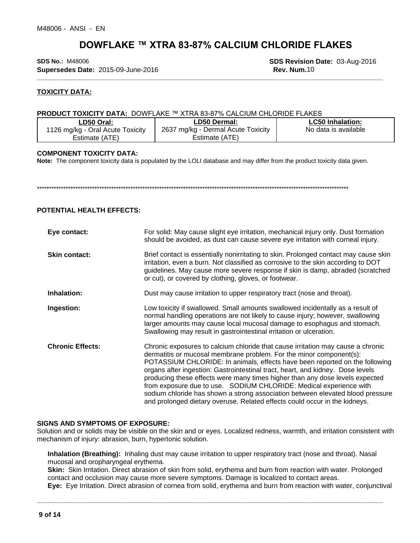**\_\_\_\_\_\_\_\_\_\_\_\_\_\_\_\_\_\_\_\_\_\_\_\_\_\_\_\_\_\_\_\_\_\_\_\_\_\_\_\_\_\_\_\_\_\_\_\_\_\_\_\_\_\_\_\_\_\_\_\_\_\_\_\_\_\_\_\_\_\_\_\_\_\_\_\_\_\_\_\_\_\_\_\_\_\_\_\_\_\_\_\_\_\_\_\_\_\_\_\_\_ SDS No.:** M48006 **SDS Revision Date:** 03-Aug-2016 **Supersedes Date:** 2015-09-June-2016 **Rev. Num.**10

#### **TOXICITY DATA:**

#### **PRODUCT TOXICITY DATA: DOWFLAKE ™ XTRA 83-87% CALCIUM CHLORIDE FLAKES**

| ∟D50 Oral:                       | <b>LD50 Dermal:</b>                | <b>LC50 Inhalation:</b> |  |
|----------------------------------|------------------------------------|-------------------------|--|
| 1126 mg/kg - Oral Acute Toxicity | 2637 mg/kg - Dermal Acute Toxicity | No data is available    |  |
| Estimate (ATE)                   | Estimate (ATE)                     |                         |  |

#### **COMPONENT TOXICITY DATA:**

**Note:** The component toxicity data is populated by the LOLI database and may differ from the product toxicity data given.

\*\*\*\*\*\*\*\*\*\*\*\*\*\*\*\*\*\*\*\*\*\*\*\*\*\*\*\*\*\*\*\*\*\*\*\*\*\*\*\*\*\*\*\*\*\*\*\*\*\*\*\*\*\*\*\*\*\*\*\*\*\*\*\*\*\*\*\*\*\*\*\*\*\*\*\*\*\*\*\*\*\*\*\*\*\*\*\*\*\*\*\*\*\*\*\*\*\*\*\*\*\*\*\*\*\*\*\*\*\*\*\*\*\*\*\*\*\*\*\*\*\*\*\*\*\*\*\*\*\*

#### **POTENTIAL HEALTH EFFECTS:**

| Eye contact:            | For solid: May cause slight eye irritation, mechanical injury only. Dust formation<br>should be avoided, as dust can cause severe eye irritation with corneal injury.                                                                                                                                                                                                                                                                                                                                                                                                                                                                         |
|-------------------------|-----------------------------------------------------------------------------------------------------------------------------------------------------------------------------------------------------------------------------------------------------------------------------------------------------------------------------------------------------------------------------------------------------------------------------------------------------------------------------------------------------------------------------------------------------------------------------------------------------------------------------------------------|
| <b>Skin contact:</b>    | Brief contact is essentially nonirritating to skin. Prolonged contact may cause skin<br>irritation, even a burn. Not classified as corrosive to the skin according to DOT<br>guidelines. May cause more severe response if skin is damp, abraded (scratched<br>or cut), or covered by clothing, gloves, or footwear.                                                                                                                                                                                                                                                                                                                          |
| Inhalation:             | Dust may cause irritation to upper respiratory tract (nose and throat).                                                                                                                                                                                                                                                                                                                                                                                                                                                                                                                                                                       |
| Ingestion:              | Low toxicity if swallowed. Small amounts swallowed incidentally as a result of<br>normal handling operations are not likely to cause injury; however, swallowing<br>larger amounts may cause local mucosal damage to esophagus and stomach.<br>Swallowing may result in gastrointestinal irritation or ulceration.                                                                                                                                                                                                                                                                                                                            |
| <b>Chronic Effects:</b> | Chronic exposures to calcium chloride that cause irritation may cause a chronic<br>dermatitis or mucosal membrane problem. For the minor component(s):<br>POTASSIUM CHLORIDE: In animals, effects have been reported on the following<br>organs after ingestion: Gastrointestinal tract, heart, and kidney. Dose levels<br>producing these effects were many times higher than any dose levels expected<br>from exposure due to use. SODIUM CHLORIDE: Medical experience with<br>sodium chloride has shown a strong association between elevated blood pressure<br>and prolonged dietary overuse. Related effects could occur in the kidneys. |

#### **SIGNS AND SYMPTOMS OF EXPOSURE:**

Solution and or solids may be visible on the skin and or eyes. Localized redness, warmth, and irritation consistent with mechanism of injury: abrasion, burn, hypertonic solution.

**Inhalation (Breathing):** Inhaling dust may cause irritation to upper respiratory tract (nose and throat). Nasal mucosal and oropharyngeal erythema.

**Skin:** Skin Irritation. Direct abrasion of skin from solid, erythema and burn from reaction with water. Prolonged contact and occlusion may cause more severe symptoms. Damage is localized to contact areas.

**Eye:** Eye Irritation. Direct abrasion of cornea from solid, erythema and burn from reaction with water, conjunctival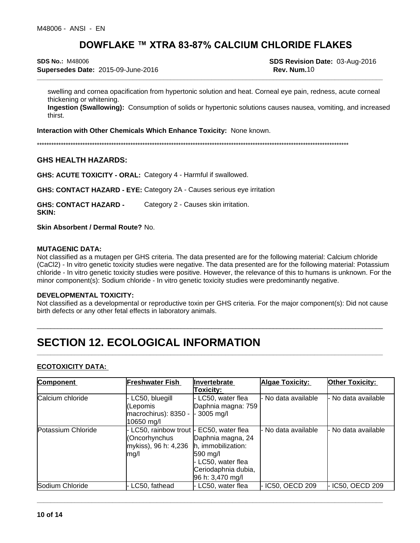**\_\_\_\_\_\_\_\_\_\_\_\_\_\_\_\_\_\_\_\_\_\_\_\_\_\_\_\_\_\_\_\_\_\_\_\_\_\_\_\_\_\_\_\_\_\_\_\_\_\_\_\_\_\_\_\_\_\_\_\_\_\_\_\_\_\_\_\_\_\_\_\_\_\_\_\_\_\_\_\_\_\_\_\_\_\_\_\_\_\_\_\_\_\_\_\_\_\_\_\_\_ SDS No.:** M48006 **SDS Revision Date:** 03-Aug-2016 **Supersedes Date:** 2015-09-June-2016 **Rev. Num.**10

swelling and cornea opacification from hypertonic solution and heat. Corneal eye pain, redness, acute corneal thickening or whitening.

**Ingestion (Swallowing):** Consumption of solids or hypertonic solutions causes nausea, vomiting, and increased thirst.

**Interaction with Other Chemicals Which Enhance Toxicity:** None known.

\*\*\*\*\*\*\*\*\*\*\*\*\*\*\*\*\*\*\*\*\*\*\*\*\*\*\*\*\*\*\*\*\*\*\*\*\*\*\*\*\*\*\*\*\*\*\*\*\*\*\*\*\*\*\*\*\*\*\*\*\*\*\*\*\*\*\*\*\*\*\*\*\*\*\*\*\*\*\*\*\*\*\*\*\*\*\*\*\*\*\*\*\*\*\*\*\*\*\*\*\*\*\*\*\*\*\*\*\*\*\*\*\*\*\*\*\*\*\*\*\*\*\*\*\*\*\*\*\*\*

#### **GHS HEALTH HAZARDS:**

**GHS: ACUTE TOXICITY - ORAL:** Category 4 - Harmful if swallowed.

**GHS: CONTACT HAZARD - EYE:** Category 2A - Causes serious eye irritation

**GHS: CONTACT HAZARD -** Category 2 - Causes skin irritation.

**SKIN:**

**Skin Absorbent/ Dermal Route?** No.

#### **MUTAGENIC DATA:**

Not classified as a mutagen per GHS criteria. The data presented are for the following material: Calcium chloride (CaCl2) - In vitro genetic toxicity studies were negative. The data presented are for the following material: Potassium chloride - In vitro genetic toxicity studies were positive. However, the relevance of this to humans is unknown. For the minor component(s): Sodium chloride - In vitro genetic toxicity studies were predominantly negative.

#### **DEVELOPMENTAL TOXICITY:**

Not classified as a developmental or reproductive toxin per GHS criteria. For the major component(s): Did not cause birth defects or any other fetal effects in laboratory animals.

\_\_\_\_\_\_\_\_\_\_\_\_\_\_\_\_\_\_\_\_\_\_\_\_\_\_\_\_\_\_\_\_\_\_\_\_\_\_\_\_\_\_\_\_\_\_\_\_\_\_\_\_\_\_\_\_\_\_\_\_\_\_\_\_\_\_\_\_\_\_\_\_\_\_\_\_\_\_\_\_\_\_\_\_\_\_\_\_\_\_\_\_\_\_\_\_\_\_\_\_\_

**\_\_\_\_\_\_\_\_\_\_\_\_\_\_\_\_\_\_\_\_\_\_\_\_\_\_\_\_\_\_\_\_\_\_\_\_\_\_\_\_\_\_\_\_\_\_\_\_\_\_\_\_\_\_\_\_\_\_\_\_\_\_\_\_\_\_\_\_\_\_\_\_\_\_\_\_\_\_\_\_\_\_\_\_\_\_\_\_\_\_\_\_\_\_\_\_\_\_\_\_\_**

**\_\_\_\_\_\_\_\_\_\_\_\_\_\_\_\_\_\_\_\_\_\_\_\_\_\_\_\_\_\_\_\_\_\_\_\_\_\_\_\_\_\_\_\_\_\_\_\_\_\_\_\_\_\_\_\_\_\_\_\_\_\_\_\_\_\_\_\_\_\_\_\_\_\_\_\_\_\_\_\_\_\_\_\_\_\_\_\_\_\_\_\_\_\_\_\_\_\_\_\_\_**

## **SECTION 12. ECOLOGICAL INFORMATION**

#### **ECOTOXICITY DATA:**

| Component          | Freshwater Fish                                                            | Invertebrate                                                                                                                                        | Algae Toxicity:   | <b>Other Toxicity:</b> |  |
|--------------------|----------------------------------------------------------------------------|-----------------------------------------------------------------------------------------------------------------------------------------------------|-------------------|------------------------|--|
|                    |                                                                            | <b>Toxicity:</b>                                                                                                                                    |                   |                        |  |
| Calcium chloride   | LC50, bluegill<br>l(Lepomis<br>$ macrochirus$ : 8350 - $ $ -<br>10650 mg/l | - LC50, water flea<br>Daphnia magna: 759<br>3005 mg/l                                                                                               | No data available | · No data available    |  |
| Potassium Chloride | LC50, rainbow trout -<br>(Oncorhynchus<br>mykiss), 96 h: 4,236<br>Img/l    | EC50, water flea<br>Daphnia magna, 24<br>h, immobilization:<br>$ 590 \text{ ma}/l$<br>- LC50, water flea<br>Ceriodaphnia dubia,<br>96 h: 3,470 mg/l | No data available | No data available      |  |
| Sodium Chloride    | LC50, fathead                                                              | LC50, water flea                                                                                                                                    | IC50, OECD 209    | IC50, OECD 209         |  |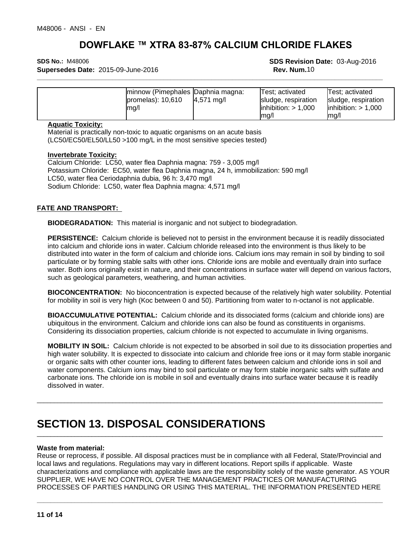**Supersedes Date:** 2015-09-June-2016 **Rev. Num.10 Rev. Num.10** 

**\_\_\_\_\_\_\_\_\_\_\_\_\_\_\_\_\_\_\_\_\_\_\_\_\_\_\_\_\_\_\_\_\_\_\_\_\_\_\_\_\_\_\_\_\_\_\_\_\_\_\_\_\_\_\_\_\_\_\_\_\_\_\_\_\_\_\_\_\_\_\_\_\_\_\_\_\_\_\_\_\_\_\_\_\_\_\_\_\_\_\_\_\_\_\_\_\_\_\_\_\_ SDS No.:** M48006 **SDS Revision Date:** 03-Aug-2016

| minnow (Pimephales Daphnia magna:<br>Test; activated<br>lTest: activated<br>$l$ promelas $)$ : 10.610<br>$4,571 \text{ mg/l}$<br>sludge, respiration<br>sludge, respiration<br>$\text{linhibition:} > 1,000$<br>$\text{linhibition:} > 1,000$<br>Imq/l<br>$Im \alpha$<br>lma/l |
|--------------------------------------------------------------------------------------------------------------------------------------------------------------------------------------------------------------------------------------------------------------------------------|
|--------------------------------------------------------------------------------------------------------------------------------------------------------------------------------------------------------------------------------------------------------------------------------|

#### **Aquatic Toxicity:**

Material is practically non-toxic to aquatic organisms on an acute basis (LC50/EC50/EL50/LL50 >100 mg/L in the most sensitive species tested)

#### **Invertebrate Toxicity:**

Calcium Chloride: LC50, water flea Daphnia magna: 759 - 3,005 mg/l Potassium Chloride: EC50, water flea Daphnia magna, 24 h, immobilization: 590 mg/l LC50, water flea Ceriodaphnia dubia, 96 h: 3,470 mg/l Sodium Chloride: LC50, water flea Daphnia magna: 4,571 mg/l

#### **FATE AND TRANSPORT:**

**BIODEGRADATION:** This material is inorganic and not subject to biodegradation.

**PERSISTENCE:** Calcium chloride is believed not to persist in the environment because it is readily dissociated into calcium and chloride ions in water. Calcium chloride released into the environment is thus likely to be distributed into water in the form of calcium and chloride ions. Calcium ions may remain in soil by binding to soil particulate or by forming stable salts with other ions. Chloride ions are mobile and eventually drain into surface water. Both ions originally exist in nature, and their concentrations in surface water will depend on various factors, such as geological parameters, weathering, and human activities.

**BIOCONCENTRATION:** No bioconcentration is expected because of the relatively high water solubility. Potential for mobility in soil is very high (Koc between 0 and 50). Partitioning from water to n-octanol is not applicable.

**BIOACCUMULATIVE POTENTIAL:** Calcium chloride and its dissociated forms (calcium and chloride ions) are ubiquitous in the environment. Calcium and chloride ions can also be found as constituents in organisms. Considering its dissociation properties, calcium chloride is not expected to accumulate in living organisms.

**MOBILITY IN SOIL:** Calcium chloride is not expected to be absorbed in soil due to its dissociation properties and high water solubility. It is expected to dissociate into calcium and chloride free ions or it may form stable inorganic or organic salts with other counter ions, leading to different fates between calcium and chloride ions in soil and water components. Calcium ions may bind to soil particulate or may form stable inorganic salts with sulfate and carbonate ions. The chloride ion is mobile in soil and eventually drains into surface water because it is readily dissolved in water.

\_\_\_\_\_\_\_\_\_\_\_\_\_\_\_\_\_\_\_\_\_\_\_\_\_\_\_\_\_\_\_\_\_\_\_\_\_\_\_\_\_\_\_\_\_\_\_\_\_\_\_\_\_\_\_\_\_\_\_\_\_\_\_\_\_\_\_\_\_\_\_\_\_\_\_\_\_\_\_\_\_\_\_\_\_\_\_\_\_\_\_\_\_\_\_\_\_\_\_\_\_

\_\_\_\_\_\_\_\_\_\_\_\_\_\_\_\_\_\_\_\_\_\_\_\_\_\_\_\_\_\_\_\_\_\_\_\_\_\_\_\_\_\_\_\_\_\_\_\_\_\_\_\_\_\_\_\_\_\_\_\_\_\_\_\_\_\_\_\_\_\_\_\_\_\_\_\_\_\_\_\_\_\_\_\_\_\_\_\_\_\_\_\_\_\_\_\_\_\_\_\_\_

**\_\_\_\_\_\_\_\_\_\_\_\_\_\_\_\_\_\_\_\_\_\_\_\_\_\_\_\_\_\_\_\_\_\_\_\_\_\_\_\_\_\_\_\_\_\_\_\_\_\_\_\_\_\_\_\_\_\_\_\_\_\_\_\_\_\_\_\_\_\_\_\_\_\_\_\_\_\_\_\_\_\_\_\_\_\_\_\_\_\_\_\_\_\_\_\_\_\_\_\_\_**

## **SECTION 13. DISPOSAL CONSIDERATIONS**

#### **Waste from material:**

Reuse or reprocess, if possible. All disposal practices must be in compliance with all Federal, State/Provincial and local laws and regulations. Regulations may vary in different locations. Report spills if applicable. Waste characterizations and compliance with applicable laws are the responsibility solely of the waste generator. AS YOUR SUPPLIER, WE HAVE NO CONTROL OVER THE MANAGEMENT PRACTICES OR MANUFACTURING PROCESSES OF PARTIES HANDLING OR USING THIS MATERIAL. THE INFORMATION PRESENTED HERE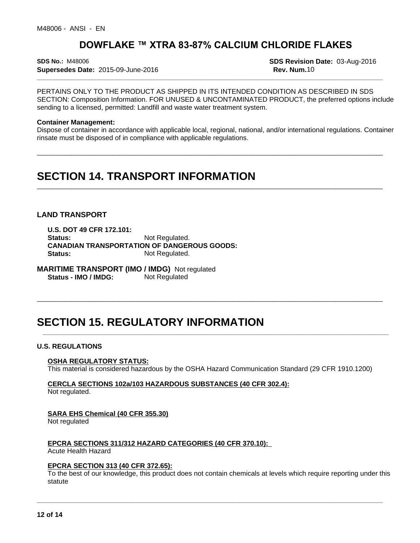**\_\_\_\_\_\_\_\_\_\_\_\_\_\_\_\_\_\_\_\_\_\_\_\_\_\_\_\_\_\_\_\_\_\_\_\_\_\_\_\_\_\_\_\_\_\_\_\_\_\_\_\_\_\_\_\_\_\_\_\_\_\_\_\_\_\_\_\_\_\_\_\_\_\_\_\_\_\_\_\_\_\_\_\_\_\_\_\_\_\_\_\_\_\_\_\_\_\_\_\_\_ SDS No.:** M48006 **SDS Revision Date:** 03-Aug-2016 **Supersedes Date:** 2015-09-June-2016 **Rev. Num.**10

PERTAINS ONLY TO THE PRODUCT AS SHIPPED IN ITS INTENDED CONDITION AS DESCRIBED IN SDS SECTION: Composition Information. FOR UNUSED & UNCONTAMINATED PRODUCT, the preferred options include sending to a licensed, permitted: Landfill and waste water treatment system.

#### **Container Management:**

Dispose of container in accordance with applicable local, regional, national, and/or international regulations. Container rinsate must be disposed of in compliance with applicable regulations.

\_\_\_\_\_\_\_\_\_\_\_\_\_\_\_\_\_\_\_\_\_\_\_\_\_\_\_\_\_\_\_\_\_\_\_\_\_\_\_\_\_\_\_\_\_\_\_\_\_\_\_\_\_\_\_\_\_\_\_\_\_\_\_\_\_\_\_\_\_\_\_\_\_\_\_\_\_\_\_\_\_\_\_\_\_\_\_\_\_\_\_\_\_\_\_\_\_\_\_\_\_

\_\_\_\_\_\_\_\_\_\_\_\_\_\_\_\_\_\_\_\_\_\_\_\_\_\_\_\_\_\_\_\_\_\_\_\_\_\_\_\_\_\_\_\_\_\_\_\_\_\_\_\_\_\_\_\_\_\_\_\_\_\_\_\_\_\_\_\_\_\_\_\_\_\_\_\_\_\_\_\_\_\_\_\_\_\_\_\_\_\_\_\_\_\_\_\_\_\_\_\_\_

\_\_\_\_\_\_\_\_\_\_\_\_\_\_\_\_\_\_\_\_\_\_\_\_\_\_\_\_\_\_\_\_\_\_\_\_\_\_\_\_\_\_\_\_\_\_\_\_\_\_\_\_\_\_\_\_\_\_\_\_\_\_\_\_\_\_\_\_\_\_\_\_\_\_\_\_\_\_\_\_\_\_\_\_\_\_\_\_\_\_\_\_\_\_\_\_\_\_\_\_\_

**\_\_\_\_\_\_\_\_\_\_\_\_\_\_\_\_\_\_\_\_\_\_\_\_\_\_\_\_\_\_\_\_\_\_\_\_\_\_\_\_\_\_\_\_\_\_\_\_\_\_\_\_\_\_\_\_\_\_\_\_\_\_\_\_\_\_\_\_\_\_\_\_\_\_\_\_\_\_\_\_\_\_\_\_\_\_\_\_\_\_\_\_\_\_\_\_\_\_\_\_\_**

## **SECTION 14. TRANSPORT INFORMATION**

#### **LAND TRANSPORT**

**U.S. DOT 49 CFR 172.101:** Status: Not Regulated. **CANADIAN TRANSPORTATION OF DANGEROUS GOODS: Status:** Not Regulated.

**MARITIME TRANSPORT (IMO / IMDG)** Not regulated **Status - IMO / IMDG:** Not Regulated

## **SECTION 15. REGULATORY INFORMATION**

#### **U.S. REGULATIONS**

#### **OSHA REGULATORY STATUS:**

This material is considered hazardous by the OSHA Hazard Communication Standard (29 CFR 1910.1200)

### **CERCLA SECTIONS 102a/103 HAZARDOUS SUBSTANCES (40 CFR 302.4):**

Not regulated.

#### **SARA EHS Chemical (40 CFR 355.30)**

Not regulated

#### **EPCRA SECTIONS 311/312 HAZARD CATEGORIES (40 CFR 370.10):**

Acute Health Hazard

#### **EPCRA SECTION 313 (40 CFR 372.65):**

To the best of our knowledge, this product does not contain chemicals at levels which require reporting under this statute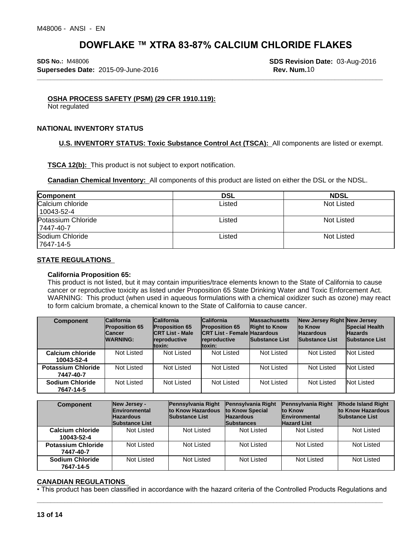**\_\_\_\_\_\_\_\_\_\_\_\_\_\_\_\_\_\_\_\_\_\_\_\_\_\_\_\_\_\_\_\_\_\_\_\_\_\_\_\_\_\_\_\_\_\_\_\_\_\_\_\_\_\_\_\_\_\_\_\_\_\_\_\_\_\_\_\_\_\_\_\_\_\_\_\_\_\_\_\_\_\_\_\_\_\_\_\_\_\_\_\_\_\_\_\_\_\_\_\_\_ SDS No.:** M48006 **SDS Revision Date:** 03-Aug-2016 **Supersedes Date:** 2015-09-June-2016 **Rev. Num.**10

#### **OSHA PROCESS SAFETY (PSM) (29 CFR 1910.119):**

Not regulated

#### **NATIONAL INVENTORY STATUS**

**U.S. INVENTORY STATUS: Toxic Substance Control Act (TSCA):** All components are listed or exempt.

**TSCA 12(b):** This product is not subject to export notification.

**Canadian Chemical Inventory:** All components of this product are listed on either the DSL or the NDSL.

| Component                       | <b>DSL</b> | <b>NDSL</b> |
|---------------------------------|------------|-------------|
| Calcium chloride<br>10043-52-4  | Listed     | Not Listed  |
| Potassium Chloride<br>7447-40-7 | Listed     | Not Listed  |
| Sodium Chloride<br>7647-14-5    | Listed     | Not Listed  |

#### **STATE REGULATIONS**

#### **California Proposition 65:**

This product is not listed, but it may contain impurities/trace elements known to the State of California to cause cancer or reproductive toxicity as listed under Proposition 65 State Drinking Water and Toxic Enforcement Act. WARNING: This product (when used in aqueous formulations with a chemical oxidizer such as ozone) may react to form calcium bromate, a chemical known to the State of California to cause cancer.

| <b>Component</b>                       | <b>California</b><br><b>Proposition 65</b><br><b>Cancer</b><br><b>WARNING:</b> | <b>California</b><br><b>Proposition 65</b><br><b>ICRT List - Male</b><br>reproductive<br>ltoxin: | <b>California</b><br><b>Proposition 65</b><br><b>ICRT List - Female Hazardous</b><br>reproductive<br>ltoxin: | <b>Massachusetts</b><br><b>Right to Know</b><br><b>Substance List</b> | New Jersey Right New Jersey<br><b>Ito Know</b><br><b>Hazardous</b><br><b>Substance List</b> | <b>Special Health</b><br><b>Hazards</b><br>Substance List |
|----------------------------------------|--------------------------------------------------------------------------------|--------------------------------------------------------------------------------------------------|--------------------------------------------------------------------------------------------------------------|-----------------------------------------------------------------------|---------------------------------------------------------------------------------------------|-----------------------------------------------------------|
| Calcium chloride<br>10043-52-4         | Not Listed                                                                     | Not Listed                                                                                       | Not Listed                                                                                                   | Not Listed                                                            | Not Listed                                                                                  | Not Listed                                                |
| <b>Potassium Chloride</b><br>7447-40-7 | Not Listed                                                                     | Not Listed                                                                                       | Not Listed                                                                                                   | Not Listed                                                            | Not Listed                                                                                  | Not Listed                                                |
| <b>Sodium Chloride</b><br>7647-14-5    | Not Listed                                                                     | Not Listed                                                                                       | Not Listed                                                                                                   | Not Listed                                                            | <b>Not Listed</b>                                                                           | Not Listed                                                |

| <b>Component</b>                       | New Jersey -<br><b>Environmental</b><br><b>Hazardous</b><br><b>Substance List</b> | <b>Pennsylvania Right</b><br>to Know Hazardous<br><b>Substance List</b> | <b>Pennsylvania Right</b><br>to Know Special<br><b>Hazardous</b><br><b>Substances</b> | Pennsylvania Right<br><b>Ito Know</b><br><b>Environmental</b><br><b>Hazard List</b> | <b>Rhode Island Right</b><br>to Know Hazardous<br><b>Substance List</b> |
|----------------------------------------|-----------------------------------------------------------------------------------|-------------------------------------------------------------------------|---------------------------------------------------------------------------------------|-------------------------------------------------------------------------------------|-------------------------------------------------------------------------|
| Calcium chloride<br>10043-52-4         | Not Listed                                                                        | Not Listed                                                              | Not Listed                                                                            | Not Listed                                                                          | Not Listed                                                              |
| <b>Potassium Chloride</b><br>7447-40-7 | Not Listed                                                                        | Not Listed                                                              | Not Listed                                                                            | Not Listed                                                                          | Not Listed                                                              |
| <b>Sodium Chloride</b><br>7647-14-5    | Not Listed                                                                        | Not Listed                                                              | Not Listed                                                                            | Not Listed                                                                          | Not Listed                                                              |

#### **CANADIAN REGULATIONS**

• This product has been classified in accordance with the hazard criteria of the Controlled Products Regulations and<br>
13 of 14